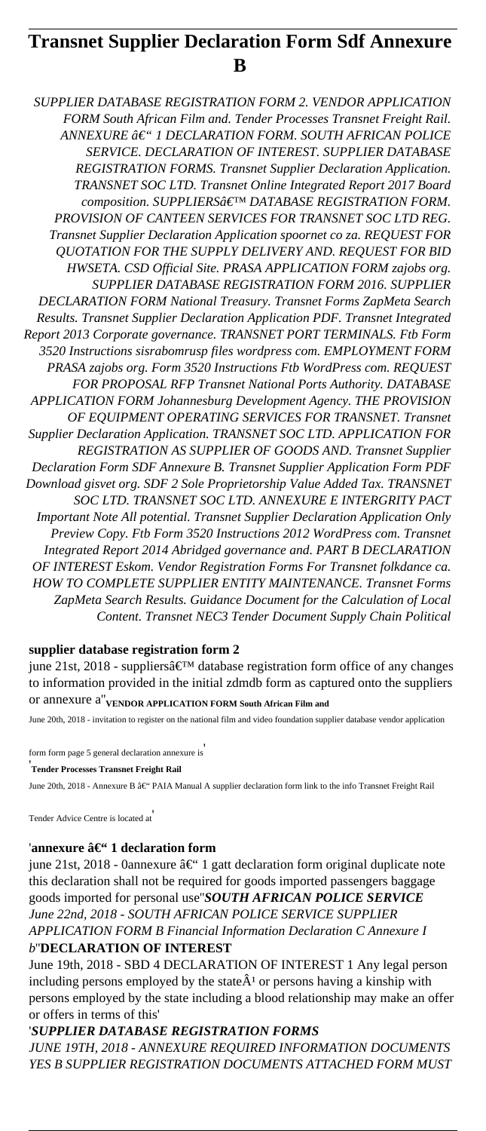# **Transnet Supplier Declaration Form Sdf Annexure B**

*SUPPLIER DATABASE REGISTRATION FORM 2. VENDOR APPLICATION FORM South African Film and. Tender Processes Transnet Freight Rail. ANNEXURE – 1 DECLARATION FORM. SOUTH AFRICAN POLICE SERVICE. DECLARATION OF INTEREST. SUPPLIER DATABASE REGISTRATION FORMS. Transnet Supplier Declaration Application. TRANSNET SOC LTD. Transnet Online Integrated Report 2017 Board composition. SUPPLIERS' DATABASE REGISTRATION FORM. PROVISION OF CANTEEN SERVICES FOR TRANSNET SOC LTD REG. Transnet Supplier Declaration Application spoornet co za. REQUEST FOR QUOTATION FOR THE SUPPLY DELIVERY AND. REQUEST FOR BID HWSETA. CSD Official Site. PRASA APPLICATION FORM zajobs org. SUPPLIER DATABASE REGISTRATION FORM 2016. SUPPLIER DECLARATION FORM National Treasury. Transnet Forms ZapMeta Search Results. Transnet Supplier Declaration Application PDF. Transnet Integrated Report 2013 Corporate governance. TRANSNET PORT TERMINALS. Ftb Form 3520 Instructions sisrabomrusp files wordpress com. EMPLOYMENT FORM PRASA zajobs org. Form 3520 Instructions Ftb WordPress com. REQUEST FOR PROPOSAL RFP Transnet National Ports Authority. DATABASE APPLICATION FORM Johannesburg Development Agency. THE PROVISION OF EQUIPMENT OPERATING SERVICES FOR TRANSNET. Transnet Supplier Declaration Application. TRANSNET SOC LTD. APPLICATION FOR REGISTRATION AS SUPPLIER OF GOODS AND. Transnet Supplier Declaration Form SDF Annexure B. Transnet Supplier Application Form PDF Download gisvet org. SDF 2 Sole Proprietorship Value Added Tax. TRANSNET SOC LTD. TRANSNET SOC LTD. ANNEXURE E INTERGRITY PACT Important Note All potential. Transnet Supplier Declaration Application Only Preview Copy. Ftb Form 3520 Instructions 2012 WordPress com. Transnet Integrated Report 2014 Abridged governance and. PART B DECLARATION OF INTEREST Eskom. Vendor Registration Forms For Transnet folkdance ca. HOW TO COMPLETE SUPPLIER ENTITY MAINTENANCE. Transnet Forms ZapMeta Search Results. Guidance Document for the Calculation of Local Content. Transnet NEC3 Tender Document Supply Chain Political*

## **supplier database registration form 2**

june 21st, 2018 - suppliers $\hat{\mathbf{a}} \in \mathbb{N}^M$  database registration form office of any changes to information provided in the initial zdmdb form as captured onto the suppliers or annexure a''**VENDOR APPLICATION FORM South African Film and**

June 20th, 2018 - invitation to register on the national film and video foundation supplier database vendor application

form form page 5 general declaration annexure is'

'**Tender Processes Transnet Freight Rail**

June 20th, 2018 - Annexure B â€" PAIA Manual A supplier declaration form link to the info Transnet Freight Rail

Tender Advice Centre is located at'

#### 'annexure â€" 1 declaration form

june 21st, 2018 - 0annexure â $\epsilon$ " 1 gatt declaration form original duplicate note this declaration shall not be required for goods imported passengers baggage goods imported for personal use''*SOUTH AFRICAN POLICE SERVICE June 22nd, 2018 - SOUTH AFRICAN POLICE SERVICE SUPPLIER APPLICATION FORM B Financial Information Declaration C Annexure I b*''**DECLARATION OF INTEREST**

June 19th, 2018 - SBD 4 DECLARATION OF INTEREST 1 Any legal person including persons employed by the state  $\hat{A}^1$  or persons having a kinship with persons employed by the state including a blood relationship may make an offer or offers in terms of this'

#### '*SUPPLIER DATABASE REGISTRATION FORMS*

*JUNE 19TH, 2018 - ANNEXURE REQUIRED INFORMATION DOCUMENTS YES B SUPPLIER REGISTRATION DOCUMENTS ATTACHED FORM MUST*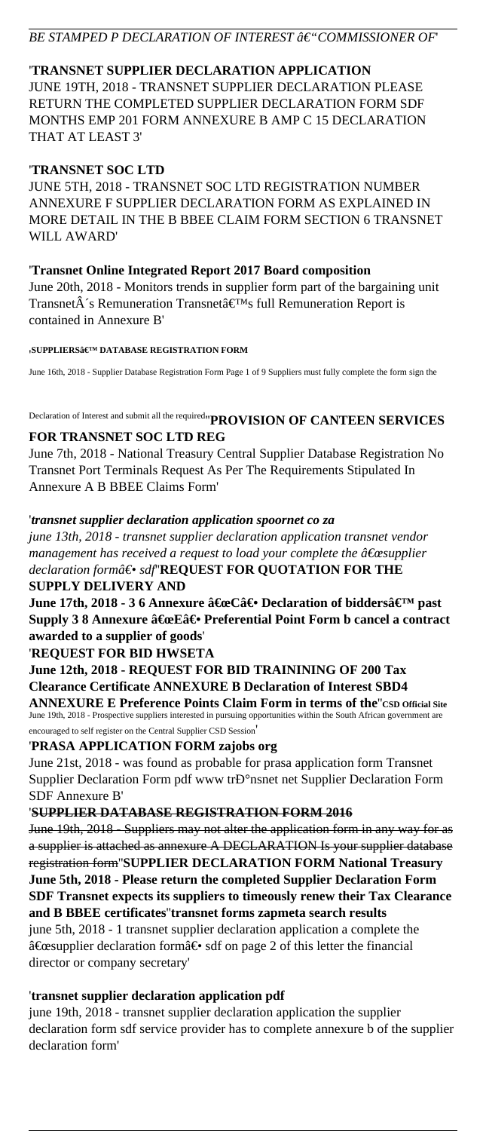# *BE STAMPED P DECLARATION OF INTEREST â€* "COMMISSIONER OF"

# '**TRANSNET SUPPLIER DECLARATION APPLICATION**

JUNE 19TH, 2018 - TRANSNET SUPPLIER DECLARATION PLEASE RETURN THE COMPLETED SUPPLIER DECLARATION FORM SDF MONTHS EMP 201 FORM ANNEXURE B AMP C 15 DECLARATION THAT AT LEAST 3'

## '**TRANSNET SOC LTD**

JUNE 5TH, 2018 - TRANSNET SOC LTD REGISTRATION NUMBER ANNEXURE F SUPPLIER DECLARATION FORM AS EXPLAINED IN MORE DETAIL IN THE B BBEE CLAIM FORM SECTION 6 TRANSNET WILL AWARD'

## '**Transnet Online Integrated Report 2017 Board composition**

June 20th, 2018 - Monitors trends in supplier form part of the bargaining unit Transnet $\hat{A}$ 's Remuneration Transnet $\hat{a} \in T^{M}$ s full Remuneration Report is contained in Annexure B'

#### **'**SUPPLIERS' DATABASE REGISTRATION FORM

June 16th, 2018 - Supplier Database Registration Form Page 1 of 9 Suppliers must fully complete the form sign the

# Declaration of Interest and submit all the required''**PROVISION OF CANTEEN SERVICES**

## **FOR TRANSNET SOC LTD REG**

June 7th, 2018 - National Treasury Central Supplier Database Registration No Transnet Port Terminals Request As Per The Requirements Stipulated In Annexure A B BBEE Claims Form'

# '*transnet supplier declaration application spoornet co za*

*june 13th, 2018 - transnet supplier declaration application transnet vendor management has received a request to load your complete the*  $\hat{a} \in \hat{c}$  *supplier* declaration form― sdf"**REQUEST FOR QUOTATION FOR THE SUPPLY DELIVERY AND**

**June 17th, 2018 - 3 6 Annexure "C― Declaration of biddersâ€**™ past **Supply 3 8 Annexure "E― Preferential Point Form b cancel a contract awarded to a supplier of goods**'

# '**REQUEST FOR BID HWSETA**

**June 12th, 2018 - REQUEST FOR BID TRAININING OF 200 Tax Clearance Certificate ANNEXURE B Declaration of Interest SBD4 ANNEXURE E Preference Points Claim Form in terms of the**''**CSD Official Site**

June 19th, 2018 - Prospective suppliers interested in pursuing opportunities within the South African government are encouraged to self register on the Central Supplier CSD Session'

## '**PRASA APPLICATION FORM zajobs org**

June 21st, 2018 - was found as probable for prasa application form Transnet Supplier Declaration Form pdf www trD°nsnet net Supplier Declaration Form SDF Annexure B'

# '**SUPPLIER DATABASE REGISTRATION FORM 2016**

June 19th, 2018 - Suppliers may not alter the application form in any way for as a supplier is attached as annexure A DECLARATION Is your supplier database registration form''**SUPPLIER DECLARATION FORM National Treasury June 5th, 2018 - Please return the completed Supplier Declaration Form SDF Transnet expects its suppliers to timeously renew their Tax Clearance and B BBEE certificates**''**transnet forms zapmeta search results**

june 5th, 2018 - 1 transnet supplier declaration application a complete the  $\hat{a} \in \mathcal{L}$  examplier declaration form  $\hat{a} \in \mathcal{L}$  sdf on page 2 of this letter the financial director or company secretary'

# '**transnet supplier declaration application pdf**

june 19th, 2018 - transnet supplier declaration application the supplier declaration form sdf service provider has to complete annexure b of the supplier declaration form'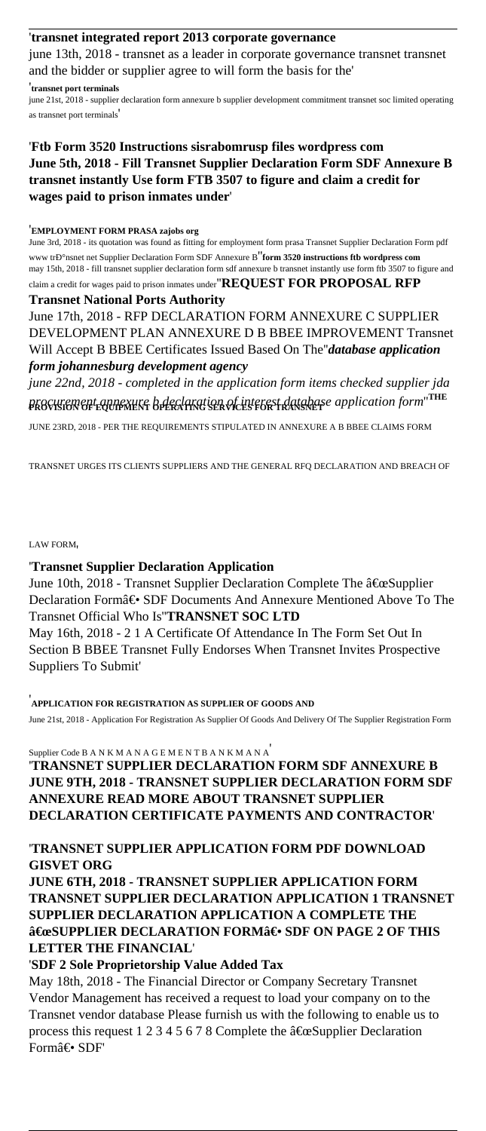## '**transnet integrated report 2013 corporate governance**

june 13th, 2018 - transnet as a leader in corporate governance transnet transnet and the bidder or supplier agree to will form the basis for the'

#### '**transnet port terminals**

june 21st, 2018 - supplier declaration form annexure b supplier development commitment transnet soc limited operating as transnet port terminals'

## '**Ftb Form 3520 Instructions sisrabomrusp files wordpress com June 5th, 2018 - Fill Transnet Supplier Declaration Form SDF Annexure B transnet instantly Use form FTB 3507 to figure and claim a credit for wages paid to prison inmates under**'

#### '**EMPLOYMENT FORM PRASA zajobs org**

June 3rd, 2018 - its quotation was found as fitting for employment form prasa Transnet Supplier Declaration Form pdf www tr $P^{\circ}$ nsnet net Supplier Declaration Form SDF Annexure B<sup>"</sup>**form 3520 instructions ftb wordpress com** may 15th, 2018 - fill transnet supplier declaration form sdf annexure b transnet instantly use form ftb 3507 to figure and claim a credit for wages paid to prison inmates under''**REQUEST FOR PROPOSAL RFP**

#### **Transnet National Ports Authority**

June 17th, 2018 - RFP DECLARATION FORM ANNEXURE C SUPPLIER DEVELOPMENT PLAN ANNEXURE D B BBEE IMPROVEMENT Transnet Will Accept B BBEE Certificates Issued Based On The''*database application form johannesburg development agency*

*june 22nd, 2018 - completed in the application form items checked supplier jda procurement annexure b declaration of interest database application form*''**THE PROVISION OF EQUIPMENT OPERATING SERVICES FOR TRANSNET**

JUNE 23RD, 2018 - PER THE REQUIREMENTS STIPULATED IN ANNEXURE A B BBEE CLAIMS FORM

TRANSNET URGES ITS CLIENTS SUPPLIERS AND THE GENERAL RFQ DECLARATION AND BREACH OF

#### LAW FORM'

## '**Transnet Supplier Declaration Application**

June 10th, 2018 - Transnet Supplier Declaration Complete The  $\hat{a} \in \mathcal{S}$ upplier Declaration Form― SDF Documents And Annexure Mentioned Above To The Transnet Official Who Is''**TRANSNET SOC LTD**

May 16th, 2018 - 2 1 A Certificate Of Attendance In The Form Set Out In Section B BBEE Transnet Fully Endorses When Transnet Invites Prospective Suppliers To Submit'

'**APPLICATION FOR REGISTRATION AS SUPPLIER OF GOODS AND**

June 21st, 2018 - Application For Registration As Supplier Of Goods And Delivery Of The Supplier Registration Form

## Supplier Code B A N K M A N A G E M E N T B A N K M A N A'

'**TRANSNET SUPPLIER DECLARATION FORM SDF ANNEXURE B JUNE 9TH, 2018 - TRANSNET SUPPLIER DECLARATION FORM SDF ANNEXURE READ MORE ABOUT TRANSNET SUPPLIER DECLARATION CERTIFICATE PAYMENTS AND CONTRACTOR**'

## '**TRANSNET SUPPLIER APPLICATION FORM PDF DOWNLOAD GISVET ORG**

**JUNE 6TH, 2018 - TRANSNET SUPPLIER APPLICATION FORM TRANSNET SUPPLIER DECLARATION APPLICATION 1 TRANSNET SUPPLIER DECLARATION APPLICATION A COMPLETE THE** "SUPPLIER DECLARATION FORM― SDF ON PAGE 2 OF THIS **LETTER THE FINANCIAL**'

'**SDF 2 Sole Proprietorship Value Added Tax**

May 18th, 2018 - The Financial Director or Company Secretary Transnet Vendor Management has received a request to load your company on to the Transnet vendor database Please furnish us with the following to enable us to process this request 1 2 3 4 5 6 7 8 Complete the  $\hat{a} \in \mathbb{C}$ Supplier Declaration Form― SDF'